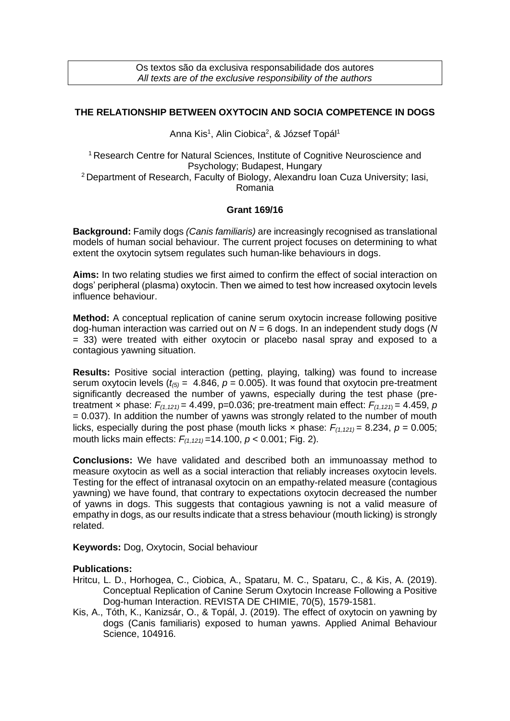## **THE RELATIONSHIP BETWEEN OXYTOCIN AND SOCIA COMPETENCE IN DOGS**

Anna Kis<sup>1</sup>, Alin Ciobica<sup>2</sup>, & József Topál<sup>1</sup>

<sup>1</sup> Research Centre for Natural Sciences, Institute of Cognitive Neuroscience and Psychology; Budapest, Hungary <sup>2</sup>Department of Research, Faculty of Biology, Alexandru Ioan Cuza University; Iasi, Romania

## **Grant 169/16**

**Background:** Family dogs *(Canis familiaris)* are increasingly recognised as translational models of human social behaviour. The current project focuses on determining to what extent the oxytocin sytsem regulates such human-like behaviours in dogs.

**Aims:** In two relating studies we first aimed to confirm the effect of social interaction on dogs' peripheral (plasma) oxytocin. Then we aimed to test how increased oxytocin levels influence behaviour.

**Method:** A conceptual replication of canine serum oxytocin increase following positive dog-human interaction was carried out on *N* = 6 dogs. In an independent study dogs (*N* = 33) were treated with either oxytocin or placebo nasal spray and exposed to a contagious yawning situation.

**Results:** Positive social interaction (petting, playing, talking) was found to increase serum oxytocin levels  $(t_{(5)} = 4.846, p = 0.005)$ . It was found that oxytocin pre-treatment significantly decreased the number of yawns, especially during the test phase (pretreatment x phase:  $F_{(1,121)} = 4.499$ , p=0.036; pre-treatment main effect:  $F_{(1,121)} = 4.459$ , p = 0.037). In addition the number of yawns was strongly related to the number of mouth licks, especially during the post phase (mouth licks x phase:  $F_{(1,121)} = 8.234$ ,  $p = 0.005$ ; mouth licks main effects: *F(1,121)* =14.100, *p* < 0.001; Fig. 2).

**Conclusions:** We have validated and described both an immunoassay method to measure oxytocin as well as a social interaction that reliably increases oxytocin levels. Testing for the effect of intranasal oxytocin on an empathy-related measure (contagious yawning) we have found, that contrary to expectations oxytocin decreased the number of yawns in dogs. This suggests that contagious yawning is not a valid measure of empathy in dogs, as our results indicate that a stress behaviour (mouth licking) is strongly related.

**Keywords:** Dog, Oxytocin, Social behaviour

## **Publications:**

- Hritcu, L. D., Horhogea, C., Ciobica, A., Spataru, M. C., Spataru, C., & Kis, A. (2019). Conceptual Replication of Canine Serum Oxytocin Increase Following a Positive Dog-human Interaction. REVISTA DE CHIMIE, 70(5), 1579-1581.
- Kis, A., Tóth, K., Kanizsár, O., & Topál, J. (2019). The effect of oxytocin on yawning by dogs (Canis familiaris) exposed to human yawns. Applied Animal Behaviour Science, 104916.